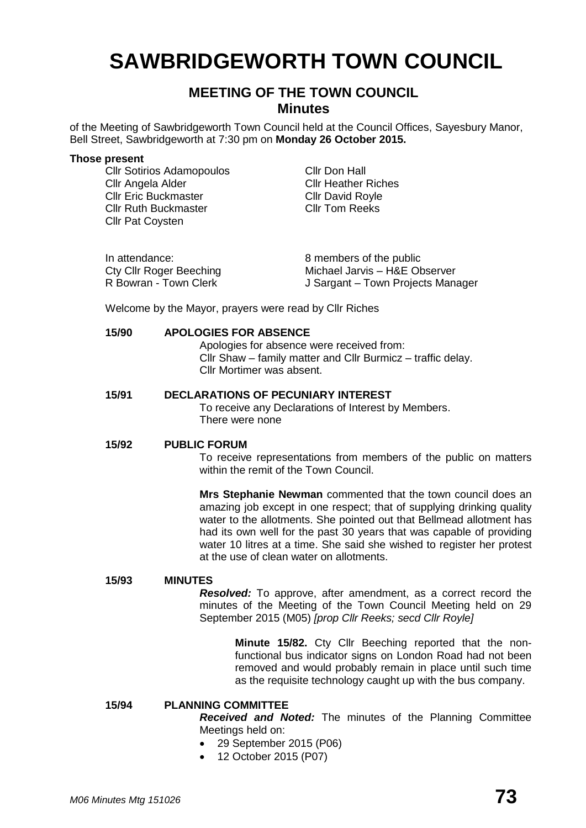# **SAWBRIDGEWORTH TOWN COUNCIL**

# **MEETING OF THE TOWN COUNCIL Minutes**

of the Meeting of Sawbridgeworth Town Council held at the Council Offices, Sayesbury Manor, Bell Street, Sawbridgeworth at 7:30 pm on **Monday 26 October 2015.**

#### **Those present**

Cllr Sotirios Adamopoulos Cllr Don Hall<br>Cllr Angela Alder Cllr Heather Cllr Eric Buckmaster Cllr David Royle Cllr Ruth Buckmaster Cllr Tom Reeks Cllr Pat Coysten

**Cllr Heather Riches** 

| In attendance:          | 8 members of the public           |
|-------------------------|-----------------------------------|
| Cty Cllr Roger Beeching | Michael Jarvis - H&E Observer     |
| R Bowran - Town Clerk   | J Sargant – Town Projects Manager |

Welcome by the Mayor, prayers were read by Cllr Riches

#### **15/90 APOLOGIES FOR ABSENCE**

Apologies for absence were received from: Cllr Shaw – family matter and Cllr Burmicz – traffic delay. Cllr Mortimer was absent.

#### **15/91 DECLARATIONS OF PECUNIARY INTEREST**

To receive any Declarations of Interest by Members. There were none

#### **15/92 PUBLIC FORUM**

To receive representations from members of the public on matters within the remit of the Town Council.

**Mrs Stephanie Newman** commented that the town council does an amazing job except in one respect; that of supplying drinking quality water to the allotments. She pointed out that Bellmead allotment has had its own well for the past 30 years that was capable of providing water 10 litres at a time. She said she wished to register her protest at the use of clean water on allotments.

#### **15/93 MINUTES**

*Resolved:* To approve, after amendment, as a correct record the minutes of the Meeting of the Town Council Meeting held on 29 September 2015 (M05) *[prop Cllr Reeks; secd Cllr Royle]*

> **Minute 15/82.** Cty Cllr Beeching reported that the nonfunctional bus indicator signs on London Road had not been removed and would probably remain in place until such time as the requisite technology caught up with the bus company.

#### **15/94 PLANNING COMMITTEE**

*Received and Noted:* The minutes of the Planning Committee Meetings held on:

- 29 September 2015 (P06)
- 12 October 2015 (P07)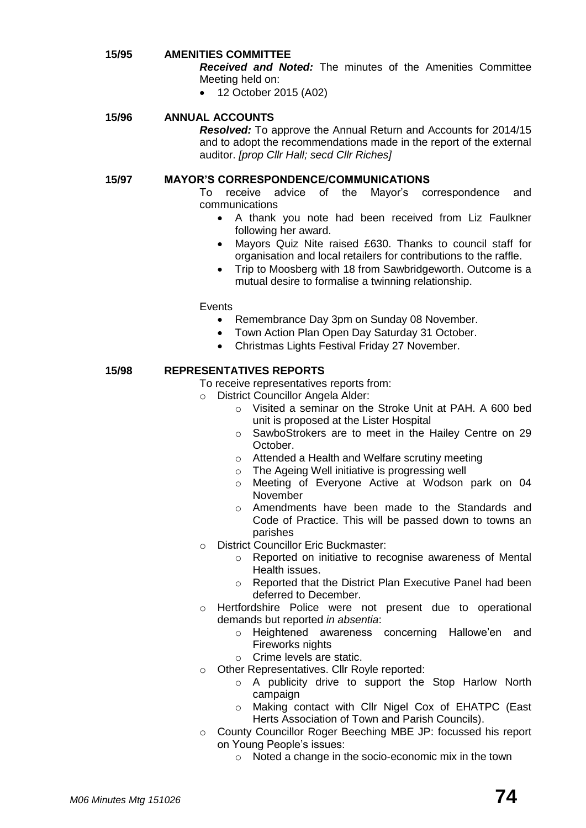#### **15/95 AMENITIES COMMITTEE**

*Received and Noted:* The minutes of the Amenities Committee Meeting held on:

12 October 2015 (A02)

#### **15/96 ANNUAL ACCOUNTS**

*Resolved:* To approve the Annual Return and Accounts for 2014/15 and to adopt the recommendations made in the report of the external auditor. *[prop Cllr Hall; secd Cllr Riches]*

#### **15/97 MAYOR'S CORRESPONDENCE/COMMUNICATIONS**

To receive advice of the Mayor's correspondence and communications

- A thank you note had been received from Liz Faulkner following her award.
- Mayors Quiz Nite raised £630. Thanks to council staff for organisation and local retailers for contributions to the raffle.
- Trip to Moosberg with 18 from Sawbridgeworth. Outcome is a mutual desire to formalise a twinning relationship.

**Events** 

- Remembrance Day 3pm on Sunday 08 November.
- Town Action Plan Open Day Saturday 31 October.
- Christmas Lights Festival Friday 27 November.

#### **15/98 REPRESENTATIVES REPORTS**

To receive representatives reports from:

- o District Councillor Angela Alder:
	- o Visited a seminar on the Stroke Unit at PAH. A 600 bed unit is proposed at the Lister Hospital
	- o SawboStrokers are to meet in the Hailey Centre on 29 October.
	- o Attended a Health and Welfare scrutiny meeting
	- o The Ageing Well initiative is progressing well
	- o Meeting of Everyone Active at Wodson park on 04 November
	- o Amendments have been made to the Standards and Code of Practice. This will be passed down to towns an parishes
- o District Councillor Eric Buckmaster:
	- o Reported on initiative to recognise awareness of Mental Health issues.
	- o Reported that the District Plan Executive Panel had been deferred to December.
- o Hertfordshire Police were not present due to operational demands but reported *in absentia*:
	- o Heightened awareness concerning Hallowe'en and Fireworks nights
	- o Crime levels are static.
- o Other Representatives. Cllr Royle reported:
	- o A publicity drive to support the Stop Harlow North campaign
	- o Making contact with Cllr Nigel Cox of EHATPC (East Herts Association of Town and Parish Councils).
- o County Councillor Roger Beeching MBE JP: focussed his report on Young People's issues:
	- o Noted a change in the socio-economic mix in the town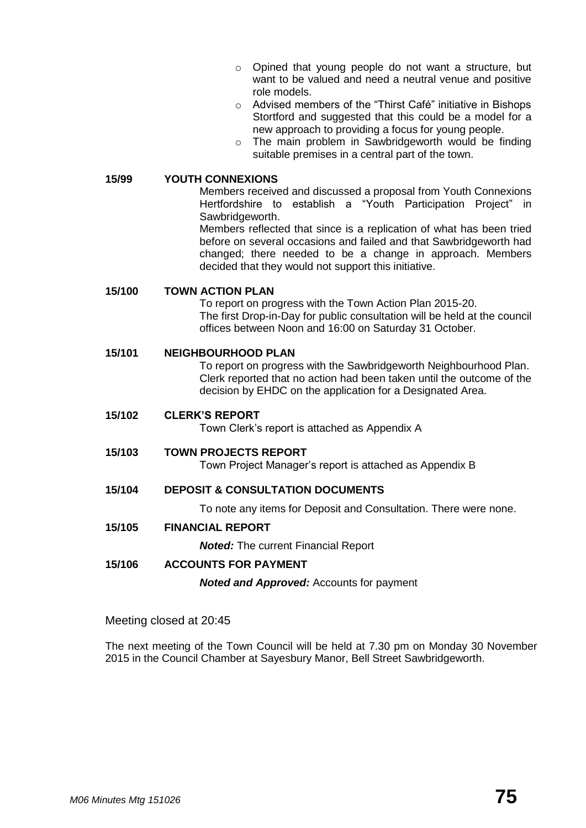- o Opined that young people do not want a structure, but want to be valued and need a neutral venue and positive role models.
- o Advised members of the "Thirst Café" initiative in Bishops Stortford and suggested that this could be a model for a new approach to providing a focus for young people.
- o The main problem in Sawbridgeworth would be finding suitable premises in a central part of the town.

**15/99 YOUTH CONNEXIONS**

Members received and discussed a proposal from Youth Connexions Hertfordshire to establish a "Youth Participation Project" in Sawbridgeworth.

Members reflected that since is a replication of what has been tried before on several occasions and failed and that Sawbridgeworth had changed; there needed to be a change in approach. Members decided that they would not support this initiative.

#### **15/100 TOWN ACTION PLAN**

To report on progress with the Town Action Plan 2015-20. The first Drop-in-Day for public consultation will be held at the council offices between Noon and 16:00 on Saturday 31 October.

#### **15/101 NEIGHBOURHOOD PLAN**

To report on progress with the Sawbridgeworth Neighbourhood Plan. Clerk reported that no action had been taken until the outcome of the decision by EHDC on the application for a Designated Area.

**15/102 CLERK'S REPORT**

Town Clerk's report is attached as Appendix A

#### **15/103 TOWN PROJECTS REPORT**

Town Project Manager's report is attached as Appendix B

**15/104 DEPOSIT & CONSULTATION DOCUMENTS**

To note any items for Deposit and Consultation. There were none.

**15/105 FINANCIAL REPORT**

*Noted:* The current Financial Report

#### **15/106 ACCOUNTS FOR PAYMENT**

*Noted and Approved:* Accounts for payment

Meeting closed at 20:45

The next meeting of the Town Council will be held at 7.30 pm on Monday 30 November 2015 in the Council Chamber at Sayesbury Manor, Bell Street Sawbridgeworth.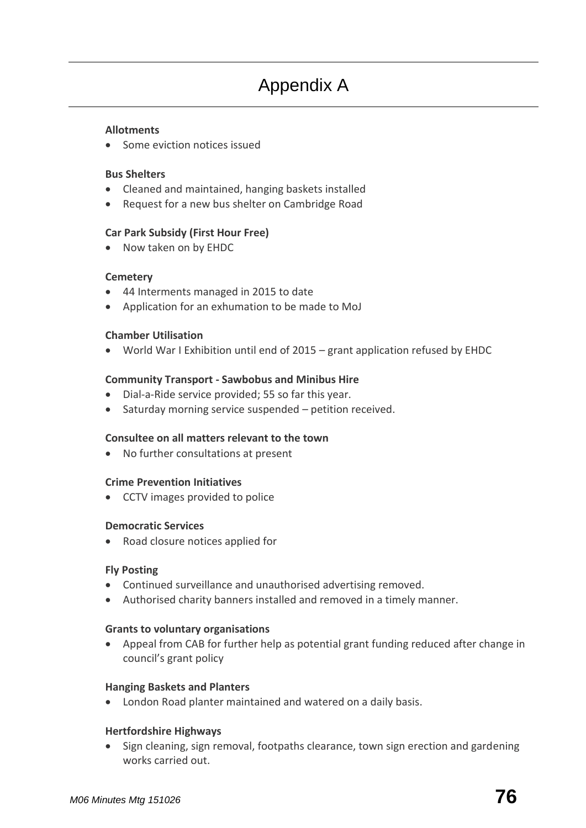#### **[Allotments](http://www.sawbridgeworth-tc.gov.uk/town-information/town-council-services/allotments)**

• Some eviction notices issued

#### **Bus Shelters**

- Cleaned and maintained, hanging baskets installed
- Request for a new bus shelter on Cambridge Road

#### **Car Park Subsidy (First Hour Free)**

• Now taken on by EHDC

# **[Cemetery](http://www.sawbridgeworth-tc.gov.uk/town-information/town-council-services/cemetery)**

- 44 Interments managed in 2015 to date
- Application for an exhumation to be made to MoJ

# **Chamber Utilisation**

World War I Exhibition until end of 2015 – grant application refused by EHDC

# **Community Transport - [Sawbobus](http://www.sawbridgeworth-tc.gov.uk/town-information/town-council-services/sawbobus) an[d Minibus Hire](http://www.sawbridgeworth-tc.gov.uk/town-information/town-council-services/minibus-hire)**

- Dial-a-Ride service provided; 55 so far this year.
- Saturday morning service suspended petition received.

#### **Consultee on all matters relevant to the town**

No further consultations at present

#### **Crime Prevention Initiatives**

• CCTV images provided to police

#### **Democratic Services**

• Road closure notices applied for

#### **Fly Posting**

- Continued surveillance and unauthorised advertising removed.
- Authorised charity banners installed and removed in a timely manner.

#### **[Grants to voluntary organisations](http://www.sawbridgeworth-tc.gov.uk/town-council/grants)**

 Appeal from CAB for further help as potential grant funding reduced after change in council's grant policy

#### **Hanging Baskets and Planters**

London Road planter maintained and watered on a daily basis.

# **Hertfordshire Highways**

• Sign cleaning, sign removal, footpaths clearance, town sign erection and gardening works carried out.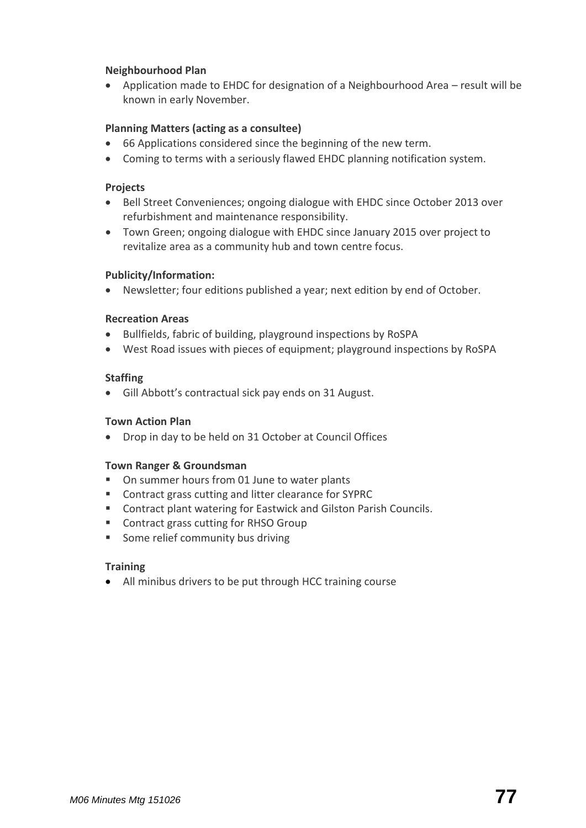#### **Neighbourhood Plan**

 Application made to EHDC for designation of a Neighbourhood Area – result will be known in early November.

#### **[Planning Matters \(acting as a](http://www.sawbridgeworth-tc.gov.uk/town-council/planning) consultee)**

- 66 Applications considered since the beginning of the new term.
- Coming to terms with a seriously flawed EHDC planning notification system.

#### **Projects**

- Bell Street Conveniences; ongoing dialogue with EHDC since October 2013 over refurbishment and maintenance responsibility.
- Town Green; ongoing dialogue with EHDC since January 2015 over project to revitalize area as a community hub and town centre focus.

#### **Publicity/Information:**

Newsletter; four editions published a year; next edition by end of October.

#### **Recreation Areas**

- Bullfields, fabric of building, playground inspections by RoSPA
- West Road issues with pieces of equipment; playground inspections by RoSPA

#### **Staffing**

Gill Abbott's contractual sick pay ends on 31 August.

#### **Town Action Plan**

Drop in day to be held on 31 October at Council Offices

#### **Town Ranger & Groundsman**

- On summer hours from 01 June to water plants
- Contract grass cutting and litter clearance for SYPRC
- Contract plant watering for Eastwick and Gilston Parish Councils.
- Contract grass cutting for RHSO Group
- **Some relief community bus driving**

#### **Training**

All minibus drivers to be put through HCC training course